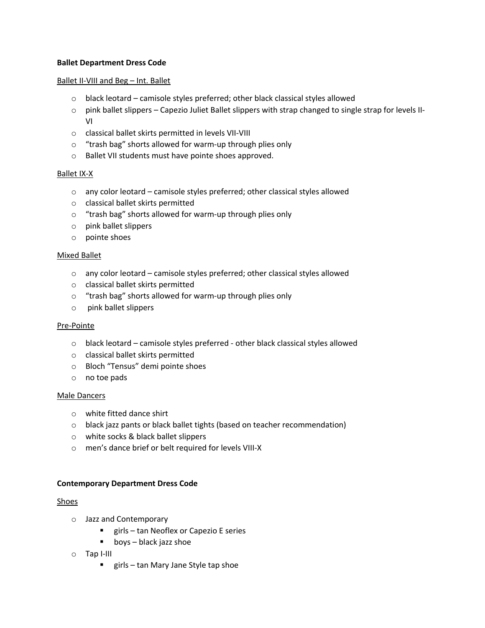## **Ballet Department Dress Code**

#### Ballet II-VIII and Beg – Int. Ballet

- $\circ$  black leotard camisole styles preferred; other black classical styles allowed
- $\circ$  pink ballet slippers Capezio Juliet Ballet slippers with strap changed to single strap for levels II-VI
- o classical ballet skirts permitted in levels VII-VIII
- o "trash bag" shorts allowed for warm-up through plies only
- o Ballet VII students must have pointe shoes approved.

#### Ballet IX-X

- o any color leotard camisole styles preferred; other classical styles allowed
- o classical ballet skirts permitted
- o "trash bag" shorts allowed for warm-up through plies only
- o pink ballet slippers
- o pointe shoes

#### Mixed Ballet

- o any color leotard camisole styles preferred; other classical styles allowed
- o classical ballet skirts permitted
- o "trash bag" shorts allowed for warm-up through plies only
- o pink ballet slippers

#### Pre-Pointe

- o black leotard camisole styles preferred other black classical styles allowed
- o classical ballet skirts permitted
- o Bloch "Tensus" demi pointe shoes
- o no toe pads

#### Male Dancers

- o white fitted dance shirt
- o black jazz pants or black ballet tights (based on teacher recommendation)
- o white socks & black ballet slippers
- o men's dance brief or belt required for levels VIII-X

#### **Contemporary Department Dress Code**

#### Shoes

- o Jazz and Contemporary
	- girls tan Neoflex or Capezio E series
	- boys black jazz shoe
- o Tap I-III
	- girls tan Mary Jane Style tap shoe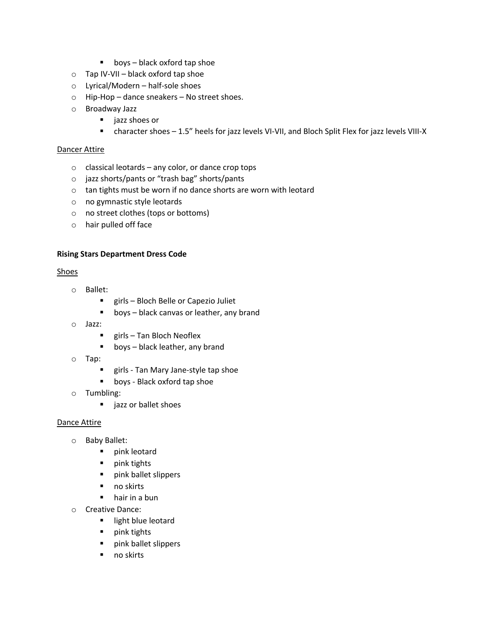- $\blacksquare$  boys black oxford tap shoe
- $\circ$  Tap IV-VII black oxford tap shoe
- o Lyrical/Modern half-sole shoes
- o Hip-Hop dance sneakers No street shoes.
- o Broadway Jazz
	- jazz shoes or
	- character shoes 1.5" heels for jazz levels VI-VII, and Bloch Split Flex for jazz levels VIII-X

## Dancer Attire

- $\circ$  classical leotards any color, or dance crop tops
- o jazz shorts/pants or "trash bag" shorts/pants
- o tan tights must be worn if no dance shorts are worn with leotard
- o no gymnastic style leotards
- o no street clothes (tops or bottoms)
- o hair pulled off face

# **Rising Stars Department Dress Code**

## Shoes

- o Ballet:
	- girls Bloch Belle or Capezio Juliet
	- boys black canvas or leather, any brand
- o Jazz:
	- girls Tan Bloch Neoflex
	- boys black leather, any brand
- o Tap:
	- girls Tan Mary Jane-style tap shoe
	- boys Black oxford tap shoe
- o Tumbling:
	- jazz or ballet shoes

#### Dance Attire

- o Baby Ballet:
	- § pink leotard
	- pink tights
	- pink ballet slippers
	- no skirts
	- hair in a bun
- o Creative Dance:
	- **E** light blue leotard
	- pink tights
	- pink ballet slippers
	- no skirts